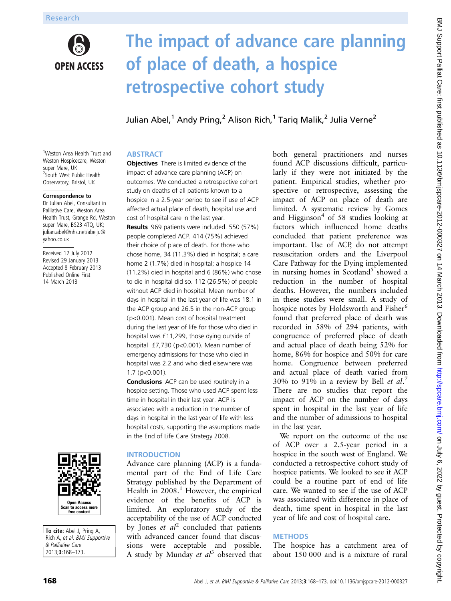

# The impact of advance care planning of place of death, a hospice retrospective cohort study

Julian Abel,<sup>1</sup> Andy Pring,<sup>2</sup> Alison Rich,<sup>1</sup> Tariq Malik,<sup>2</sup> Julia Verne<sup>2</sup>

<sup>1</sup>Weston Area Health Trust and Weston Hospicecare, Weston super Mare, UK <sup>2</sup>South West Public Health Observatory, Bristol, UK

#### Correspondence to

Dr Julian Abel, Consultant in Palliative Care, Weston Area Health Trust, Grange Rd, Weston super Mare, BS23 4TQ, UK; julian.abel@nhs.net/abelju@ yahoo.co.uk

Received 12 July 2012 Revised 29 January 2013 Accepted 8 February 2013 Published Online First 14 March 2013



To cite: Abel J, Pring A, Rich A, et al. BMJ Supportive & Palliative Care 2013;3:168–173.

## **ABSTRACT**

**Objectives** There is limited evidence of the impact of advance care planning (ACP) on outcomes. We conducted a retrospective cohort study on deaths of all patients known to a hospice in a 2.5-year period to see if use of ACP affected actual place of death, hospital use and cost of hospital care in the last year. Results 969 patients were included. 550 (57%) people completed ACP. 414 (75%) achieved their choice of place of death. For those who chose home, 34 (11.3%) died in hospital; a care home 2 (1.7%) died in hospital; a hospice 14 (11.2%) died in hospital and 6 (86%) who chose to die in hospital did so. 112 (26.5%) of people without ACP died in hospital. Mean number of days in hospital in the last year of life was 18.1 in the ACP group and 26.5 in the non-ACP group (p<0.001). Mean cost of hospital treatment during the last year of life for those who died in hospital was £11,299, those dying outside of hospital £7,730 (p<0.001). Mean number of emergency admissions for those who died in hospital was 2.2 and who died elsewhere was 1.7 (p<0.001).

Conclusions ACP can be used routinely in a hospice setting. Those who used ACP spent less time in hospital in their last year. ACP is associated with a reduction in the number of days in hospital in the last year of life with less hospital costs, supporting the assumptions made in the End of Life Care Strategy 2008.

## **INTRODUCTION**

Advance care planning (ACP) is a fundamental part of the End of Life Care Strategy published by the Department of Health in  $2008<sup>1</sup>$  However, the empirical evidence of the benefits of ACP is limited. An exploratory study of the acceptability of the use of ACP conducted by Jones et  $al^2$  concluded that patients with advanced cancer found that discussions were acceptable and possible. A study by Munday et  $al^3$  observed that both general practitioners and nurses found ACP discussions difficult, particularly if they were not initiated by the patient. Empirical studies, whether prospective or retrospective, assessing the impact of ACP on place of death are limited. A systematic review by Gomes and Higginson<sup>4</sup> of 58 studies looking at factors which influenced home deaths concluded that patient preference was important. Use of ACP, do not attempt resuscitation orders and the Liverpool Care Pathway for the Dying implemented in nursing homes in Scotland<sup>5</sup> showed a reduction in the number of hospital deaths. However, the numbers included in these studies were small. A study of hospice notes by Holdsworth and Fisher<sup>6</sup> found that preferred place of death was recorded in 58% of 294 patients, with congruence of preferred place of death and actual place of death being 52% for home, 86% for hospice and 50% for care home. Congruence between preferred and actual place of death varied from 30% to 91% in a review by Bell et  $al$ .<sup>7</sup> There are no studies that report the impact of ACP on the number of days spent in hospital in the last year of life and the number of admissions to hospital in the last year.

We report on the outcome of the use of ACP over a 2.5-year period in a hospice in the south west of England. We conducted a retrospective cohort study of hospice patients. We looked to see if ACP could be a routine part of end of life care. We wanted to see if the use of ACP was associated with difference in place of death, time spent in hospital in the last year of life and cost of hospital care.

## **METHODS**

The hospice has a catchment area of about 150 000 and is a mixture of rural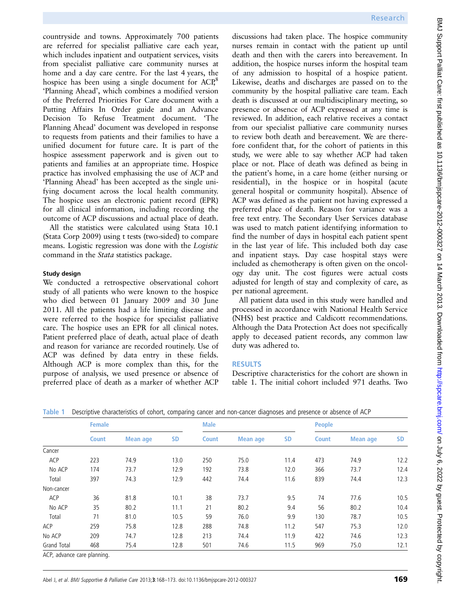countryside and towns. Approximately 700 patients are referred for specialist palliative care each year, which includes inpatient and outpatient services, visits from specialist palliative care community nurses at home and a day care centre. For the last 4 years, the hospice has been using a single document for  $ACP<sup>8</sup>$ 'Planning Ahead', which combines a modified version of the Preferred Priorities For Care document with a Putting Affairs In Order guide and an Advance Decision To Refuse Treatment document. 'The Planning Ahead' document was developed in response to requests from patients and their families to have a unified document for future care. It is part of the hospice assessment paperwork and is given out to patients and families at an appropriate time. Hospice practice has involved emphasising the use of ACP and 'Planning Ahead' has been accepted as the single unifying document across the local health community. The hospice uses an electronic patient record (EPR) for all clinical information, including recording the outcome of ACP discussions and actual place of death.

All the statistics were calculated using Stata 10.1 (Stata Corp 2009) using t tests (two-sided) to compare means. Logistic regression was done with the Logistic command in the Stata statistics package.

#### Study design

We conducted a retrospective observational cohort study of all patients who were known to the hospice who died between 01 January 2009 and 30 June 2011. All the patients had a life limiting disease and were referred to the hospice for specialist palliative care. The hospice uses an EPR for all clinical notes. Patient preferred place of death, actual place of death and reason for variance are recorded routinely. Use of ACP was defined by data entry in these fields. Although ACP is more complex than this, for the purpose of analysis, we used presence or absence of preferred place of death as a marker of whether ACP

discussions had taken place. The hospice community nurses remain in contact with the patient up until death and then with the carers into bereavement. In addition, the hospice nurses inform the hospital team of any admission to hospital of a hospice patient. Likewise, deaths and discharges are passed on to the community by the hospital palliative care team. Each death is discussed at our multidisciplinary meeting, so presence or absence of ACP expressed at any time is reviewed. In addition, each relative receives a contact from our specialist palliative care community nurses to review both death and bereavement. We are therefore confident that, for the cohort of patients in this study, we were able to say whether ACP had taken place or not. Place of death was defined as being in the patient's home, in a care home (either nursing or residential), in the hospice or in hospital (acute general hospital or community hospital). Absence of ACP was defined as the patient not having expressed a preferred place of death. Reason for variance was a free text entry. The Secondary User Services database was used to match patient identifying information to find the number of days in hospital each patient spent in the last year of life. This included both day case and inpatient stays. Day case hospital stays were included as chemotherapy is often given on the oncology day unit. The cost figures were actual costs adjusted for length of stay and complexity of care, as per national agreement.

All patient data used in this study were handled and processed in accordance with National Health Service (NHS) best practice and Caldicott recommendations. Although the Data Protection Act does not specifically apply to deceased patient records, any common law duty was adhered to.

## RESULTS

Descriptive characteristics for the cohort are shown in table 1. The initial cohort included 971 deaths. Two

|             | <b>Female</b> |                 |           | <b>Male</b>  |                 |           | <b>People</b> |                 |           |
|-------------|---------------|-----------------|-----------|--------------|-----------------|-----------|---------------|-----------------|-----------|
|             | <b>Count</b>  | <b>Mean age</b> | <b>SD</b> | <b>Count</b> | <b>Mean age</b> | <b>SD</b> | <b>Count</b>  | <b>Mean age</b> | <b>SD</b> |
| Cancer      |               |                 |           |              |                 |           |               |                 |           |
| ACP         | 223           | 74.9            | 13.0      | 250          | 75.0            | 11.4      | 473           | 74.9            | 12.2      |
| No ACP      | 174           | 73.7            | 12.9      | 192          | 73.8            | 12.0      | 366           | 73.7            | 12.4      |
| Total       | 397           | 74.3            | 12.9      | 442          | 74.4            | 11.6      | 839           | 74.4            | 12.3      |
| Non-cancer  |               |                 |           |              |                 |           |               |                 |           |
| ACP         | 36            | 81.8            | 10.1      | 38           | 73.7            | 9.5       | 74            | 77.6            | 10.5      |
| No ACP      | 35            | 80.2            | 11.1      | 21           | 80.2            | 9.4       | 56            | 80.2            | 10.4      |
| Total       | 71            | 81.0            | 10.5      | 59           | 76.0            | 9.9       | 130           | 78.7            | 10.5      |
| <b>ACP</b>  | 259           | 75.8            | 12.8      | 288          | 74.8            | 11.2      | 547           | 75.3            | 12.0      |
| No ACP      | 209           | 74.7            | 12.8      | 213          | 74.4            | 11.9      | 422           | 74.6            | 12.3      |
| Grand Total | 468           | 75.4            | 12.8      | 501          | 74.6            | 11.5      | 969           | 75.0            | 12.1      |

Table 1 Descriptive characteristics of cohort, comparing cancer and non-cancer diagnoses and presence or absence of ACP

ACP, advance care planning.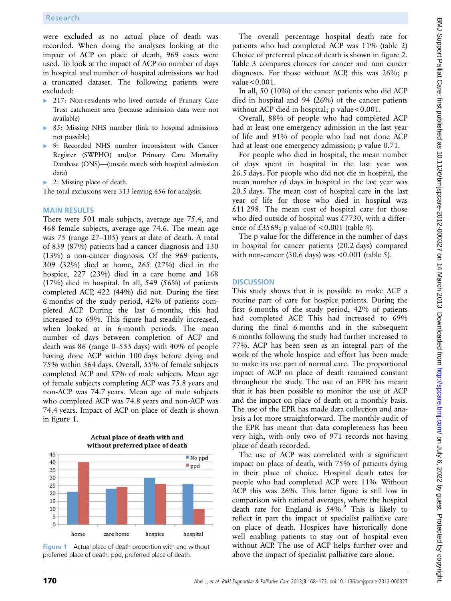were excluded as no actual place of death was recorded. When doing the analyses looking at the impact of ACP on place of death, 969 cases were used. To look at the impact of ACP on number of days in hospital and number of hospital admissions we had a truncated dataset. The following patients were excluded:

- ▸ 217: Non-residents who lived outside of Primary Care Trust catchment area (because admission data were not available)
- ▸ 85: Missing NHS number (link to hospital admissions not possible)
- ▶ 9: Recorded NHS number inconsistent with Cancer Register (SWPHO) and/or Primary Care Mortality Database (ONS)—(unsafe match with hospital admission data)
- $\triangleright$  2: Missing place of death.

The total exclusions were 313 leaving 656 for analysis.

#### MAIN RESULTS

There were 501 male subjects, average age 75.4, and 468 female subjects, average age 74.6. The mean age was 75 (range 27–105) years at date of death. A total of 839 (87%) patients had a cancer diagnosis and 130 (13%) a non-cancer diagnosis. Of the 969 patients, 309 (32%) died at home, 265 (27%) died in the hospice, 227 (23%) died in a care home and 168 (17%) died in hospital. In all, 549 (56%) of patients completed ACP, 422 (44%) did not. During the first 6 months of the study period, 42% of patients completed ACP. During the last 6 months, this had increased to 69%. This figure had steadily increased, when looked at in 6-month periods. The mean number of days between completion of ACP and death was 86 (range 0–555 days) with 40% of people having done ACP within 100 days before dying and 75% within 364 days. Overall, 55% of female subjects completed ACP and 57% of male subjects. Mean age of female subjects completing ACP was 75.8 years and non-ACP was 74.7 years. Mean age of male subjects who completed ACP was 74.8 years and non-ACP was 74.4 years. Impact of ACP on place of death is shown in figure 1.



Figure 1 Actual place of death proportion with and without preferred place of death. ppd, preferred place of death.

The overall percentage hospital death rate for patients who had completed ACP was 11% (table 2) Choice of preferred place of death is shown in figure 2. Table 3 compares choices for cancer and non cancer diagnoses. For those without ACP, this was 26%; p value<0.001.

In all, 50 (10%) of the cancer patients who did ACP died in hospital and 94 (26%) of the cancer patients without ACP died in hospital; p value<0.001.

Overall, 88% of people who had completed ACP had at least one emergency admission in the last year of life and 91% of people who had not done ACP had at least one emergency admission; p value 0.71.

For people who died in hospital, the mean number of days spent in hospital in the last year was 26.5 days. For people who did not die in hospital, the mean number of days in hospital in the last year was 20.5 days. The mean cost of hospital care in the last year of life for those who died in hospital was £11 298. The mean cost of hospital care for those who died outside of hospital was £7730, with a difference of £3569; p value of  $\leq 0.001$  (table 4).

The p value for the difference in the number of days in hospital for cancer patients (20.2 days) compared with non-cancer  $(30.6 \text{ days})$  was  $\lt 0.001$  (table 5).

## **DISCUSSION**

This study shows that it is possible to make ACP a routine part of care for hospice patients. During the first 6 months of the study period, 42% of patients had completed ACP. This had increased to 69% during the final 6 months and in the subsequent 6 months following the study had further increased to 77%. ACP has been seen as an integral part of the work of the whole hospice and effort has been made to make its use part of normal care. The proportional impact of ACP on place of death remained constant throughout the study. The use of an EPR has meant that it has been possible to monitor the use of ACP and the impact on place of death on a monthly basis. The use of the EPR has made data collection and analysis a lot more straightforward. The monthly audit of the EPR has meant that data completeness has been very high, with only two of 971 records not having place of death recorded.

The use of ACP was correlated with a significant impact on place of death, with 75% of patients dying in their place of choice. Hospital death rates for people who had completed ACP were 11%. Without ACP this was 26%. This latter figure is still low in comparison with national averages, where the hospital death rate for England is 54%.<sup>9</sup> This is likely to reflect in part the impact of specialist palliative care on place of death. Hospices have historically done well enabling patients to stay out of hospital even without ACP. The use of ACP helps further over and above the impact of specialist palliative care alone.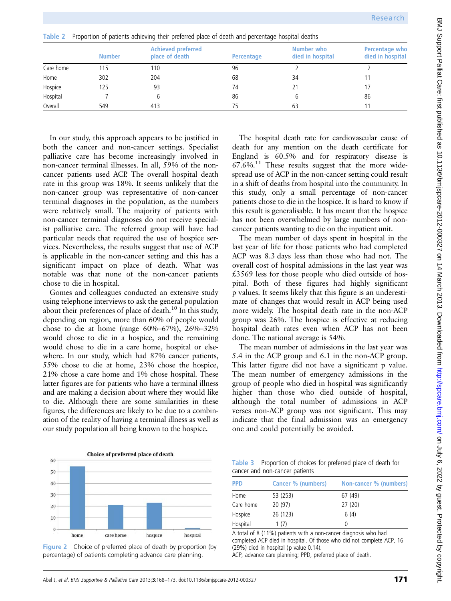|           | <b>Achieved preferred</b><br>place of death<br><b>Number</b> |     | <b>Percentage</b> | Number who<br>died in hospital | <b>Percentage who</b><br>died in hospital |  |  |
|-----------|--------------------------------------------------------------|-----|-------------------|--------------------------------|-------------------------------------------|--|--|
| Care home | 115                                                          | 110 | 96                |                                |                                           |  |  |
| Home      | 302                                                          | 204 | 68                | 34                             |                                           |  |  |
| Hospice   | 125                                                          | 93  | 74                | 21                             |                                           |  |  |
| Hospital  |                                                              |     | 86                |                                | 86                                        |  |  |
| Overall   | 549                                                          | 413 | 75                | 63                             |                                           |  |  |
|           |                                                              |     |                   |                                |                                           |  |  |

Table 2 Proportion of patients achieving their preferred place of death and percentage hospital deaths

In our study, this approach appears to be justified in both the cancer and non-cancer settings. Specialist palliative care has become increasingly involved in non-cancer terminal illnesses. In all, 59% of the noncancer patients used ACP. The overall hospital death rate in this group was 18%. It seems unlikely that the non-cancer group was representative of non-cancer terminal diagnoses in the population, as the numbers were relatively small. The majority of patients with non-cancer terminal diagnoses do not receive specialist palliative care. The referred group will have had particular needs that required the use of hospice services. Nevertheless, the results suggest that use of ACP is applicable in the non-cancer setting and this has a significant impact on place of death. What was notable was that none of the non-cancer patients chose to die in hospital.

Gomes and colleagues conducted an extensive study using telephone interviews to ask the general population about their preferences of place of death.10 In this study, depending on region, more than 60% of people would chose to die at home (range 60%–67%), 26%–32% would chose to die in a hospice, and the remaining would chose to die in a care home, hospital or elsewhere. In our study, which had 87% cancer patients, 55% chose to die at home, 23% chose the hospice, 21% chose a care home and 1% chose hospital. These latter figures are for patients who have a terminal illness and are making a decision about where they would like to die. Although there are some similarities in these figures, the differences are likely to be due to a combination of the reality of having a terminal illness as well as our study population all being known to the hospice.



Figure 2 Choice of preferred place of death by proportion (by percentage) of patients completing advance care planning.

The hospital death rate for cardiovascular cause of death for any mention on the death certificate for England is 60.5% and for respiratory disease is  $67.6\%$ <sup>11</sup> These results suggest that the more widespread use of ACP in the non-cancer setting could result in a shift of deaths from hospital into the community. In this study, only a small percentage of non-cancer patients chose to die in the hospice. It is hard to know if this result is generalisable. It has meant that the hospice has not been overwhelmed by large numbers of noncancer patients wanting to die on the inpatient unit.

The mean number of days spent in hospital in the last year of life for those patients who had completed ACP was 8.3 days less than those who had not. The overall cost of hospital admissions in the last year was £3569 less for those people who died outside of hospital. Both of these figures had highly significant p values. It seems likely that this figure is an underestimate of changes that would result in ACP being used more widely. The hospital death rate in the non-ACP group was 26%. The hospice is effective at reducing hospital death rates even when ACP has not been done. The national average is 54%.

The mean number of admissions in the last year was 5.4 in the ACP group and 6.1 in the non-ACP group. This latter figure did not have a significant p value. The mean number of emergency admissions in the group of people who died in hospital was significantly higher than those who died outside of hospital, although the total number of admissions in ACP verses non-ACP group was not significant. This may indicate that the final admission was an emergency one and could potentially be avoided.

Table 3 Proportion of choices for preferred place of death for cancer and non-cancer patients

| <b>PPD</b> | Cancer % (numbers) | Non-cancer % (numbers) |  |  |
|------------|--------------------|------------------------|--|--|
| Home       | 53 (253)           | 67 (49)                |  |  |
| Care home  | 20(97)             | 27(20)                 |  |  |
| Hospice    | 26 (123)           | 6(4)                   |  |  |
| Hospital   | 1(7)               | O                      |  |  |

A total of 8 (11%) patients with a non-cancer diagnosis who had completed ACP died in hospital. Of those who did not complete ACP, 16 (29%) died in hospital (p value 0.14).

ACP, advance care planning; PPD, preferred place of death.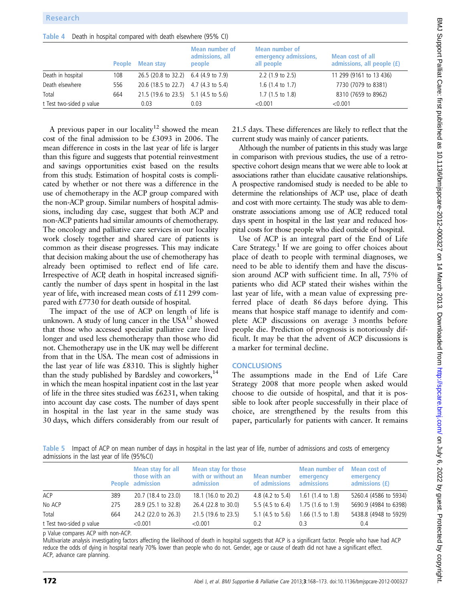Table 4 Death in hospital compared with death elsewhere (95% CI)

|                          |     | People Mean stay                               | Mean number of<br>admissions, all<br>people | Mean number of<br>emergency admissions,<br>all people | Mean cost of all<br>admissions, all people (£) |
|--------------------------|-----|------------------------------------------------|---------------------------------------------|-------------------------------------------------------|------------------------------------------------|
| Death in hospital        | 108 | 26.5 (20.8 to 32.2) 6.4 (4.9 to 7.9)           |                                             | $2.2$ (1.9 to 2.5)                                    | 11 299 (9161 to 13 436)                        |
| Death elsewhere          | 556 | 20.6 (18.5 to 22.7) 4.7 (4.3 to 5.4)           |                                             | $1.6$ (1.4 to 1.7)                                    | 7730 (7079 to 8381)                            |
| Total                    | 664 | $21.5(19.6 \text{ to } 23.5)$ 5.1 (4.5 to 5.6) |                                             | $1.7(1.5 \text{ to } 1.8)$                            | 8310 (7659 to 8962)                            |
| t Test two-sided p value |     | 0.03                                           | 0.03                                        | < 0.001                                               | < 0.001                                        |

A previous paper in our locality<sup>12</sup> showed the mean cost of the final admission to be £3093 in 2006. The mean difference in costs in the last year of life is larger than this figure and suggests that potential reinvestment and savings opportunities exist based on the results from this study. Estimation of hospital costs is complicated by whether or not there was a difference in the use of chemotherapy in the ACP group compared with the non-ACP group. Similar numbers of hospital admissions, including day case, suggest that both ACP and non-ACP patients had similar amounts of chemotherapy. The oncology and palliative care services in our locality work closely together and shared care of patients is common as their disease progresses. This may indicate that decision making about the use of chemotherapy has already been optimised to reflect end of life care. Irrespective of ACP, death in hospital increased significantly the number of days spent in hospital in the last year of life, with increased mean costs of £11 299 compared with £7730 for death outside of hospital.

The impact of the use of ACP on length of life is unknown. A study of lung cancer in the  $USA^{13}$  showed that those who accessed specialist palliative care lived longer and used less chemotherapy than those who did not. Chemotherapy use in the UK may well be different from that in the USA. The mean cost of admissions in the last year of life was £8310. This is slightly higher than the study published by Bardsley and coworkers,  $14$ in which the mean hospital inpatient cost in the last year of life in the three sites studied was  $£6231$ , when taking into account day case costs. The number of days spent in hospital in the last year in the same study was 30 days, which differs considerably from our result of

21.5 days. These differences are likely to reflect that the current study was mainly of cancer patients.

Although the number of patients in this study was large in comparison with previous studies, the use of a retrospective cohort design means that we were able to look at associations rather than elucidate causative relationships. A prospective randomised study is needed to be able to determine the relationships of ACP use, place of death and cost with more certainty. The study was able to demonstrate associations among use of ACP, reduced total days spent in hospital in the last year and reduced hospital costs for those people who died outside of hospital.

Use of ACP is an integral part of the End of Life Care Strategy.<sup>1</sup> If we are going to offer choices about place of death to people with terminal diagnoses, we need to be able to identify them and have the discussion around ACP with sufficient time. In all, 75% of patients who did ACP stated their wishes within the last year of life, with a mean value of expressing preferred place of death 86 days before dying. This means that hospice staff manage to identify and complete ACP discussions on average 3 months before people die. Prediction of prognosis is notoriously difficult. It may be that the advent of ACP discussions is a marker for terminal decline.

#### **CONCLUSIONS**

The assumptions made in the End of Life Care Strategy 2008 that more people when asked would choose to die outside of hospital, and that it is possible to look after people successfully in their place of choice, are strengthened by the results from this paper, particularly for patients with cancer. It remains

Table 5 Impact of ACP on mean number of days in hospital in the last year of life, number of admissions and costs of emergency admissions in the last year of life (95%CI)

|                          |     | Mean stay for all<br>those with an<br>People admission | Mean stay for those<br>with or without an<br>admission | <b>Mean number</b><br>of admissions | Mean number of<br>emergency<br>admissions | Mean cost of<br>emergency<br>admissions (£) |
|--------------------------|-----|--------------------------------------------------------|--------------------------------------------------------|-------------------------------------|-------------------------------------------|---------------------------------------------|
| ACP                      | 389 | 20.7 (18.4 to 23.0)                                    | 18.1 (16.0 to 20.2)                                    | 4.8 $(4.2 \text{ to } 5.4)$         | $1.61(1.4 \text{ to } 1.8)$               | 5260.4 (4586 to 5934)                       |
| No ACP                   | 275 | 28.9 (25.1 to 32.8)                                    | 26.4 (22.8 to 30.0)                                    | 5.5 $(4.5 \text{ to } 6.4)$         | $1.75(1.6 \text{ to } 1.9)$               | 5690.9 (4984 to 6398)                       |
| Total                    | 664 | 24.2 (22.0 to 26.3)                                    | 21.5 (19.6 to 23.5)                                    | 5.1 $(4.5 \text{ to } 5.6)$         | 1.66 $(1.5 \text{ to } 1.8)$              | 5438.8 (4948 to 5929)                       |
| t Test two-sided p value |     | < 0.001                                                | < 0.001                                                | 0.2                                 | 0.3                                       | 0.4                                         |

p Value compares ACP with non-ACP.

Multivariate analysis investigating factors affecting the likelihood of death in hospital suggests that ACP is a significant factor. People who have had ACP reduce the odds of dying in hospital nearly 70% lower than people who do not. Gender, age or cause of death did not have a significant effect. ACP, advance care planning.